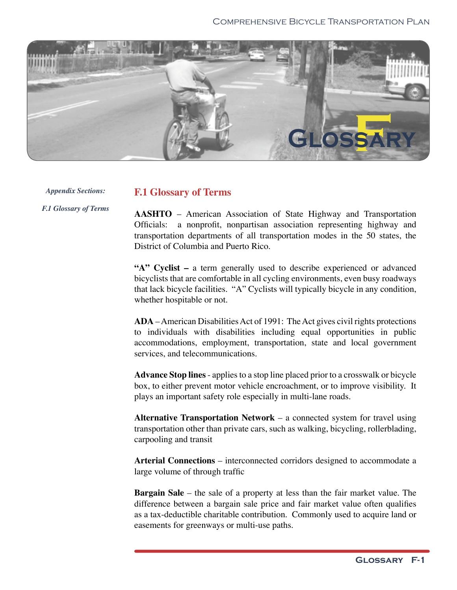

*Appendix Sections: F.1 Glossary of Terms*

## **F.1 Glossary of Terms**

**AASHTO** – American Association of State Highway and Transportation Officials: a nonprofit, nonpartisan association representing highway and transportation departments of all transportation modes in the 50 states, the District of Columbia and Puerto Rico.

**"A" Cyclist –** a term generally used to describe experienced or advanced bicyclists that are comfortable in all cycling environments, even busy roadways that lack bicycle facilities. "A" Cyclists will typically bicycle in any condition, whether hospitable or not.

**ADA** – American Disabilities Act of 1991: The Act gives civil rights protections to individuals with disabilities including equal opportunities in public accommodations, employment, transportation, state and local government services, and telecommunications.

**Advance Stop lines** - applies to a stop line placed prior to a crosswalk or bicycle box, to either prevent motor vehicle encroachment, or to improve visibility. It plays an important safety role especially in multi-lane roads.

**Alternative Transportation Network** – a connected system for travel using transportation other than private cars, such as walking, bicycling, rollerblading, carpooling and transit

**Arterial Connections** – interconnected corridors designed to accommodate a large volume of through traffic

**Bargain Sale** – the sale of a property at less than the fair market value. The difference between a bargain sale price and fair market value often qualifies as a tax-deductible charitable contribution. Commonly used to acquire land or easements for greenways or multi-use paths.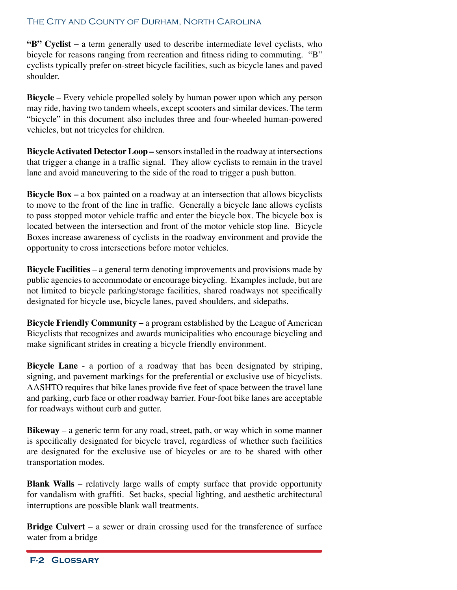## The City and County of Durham, North Carolina

**"B" Cyclist –** a term generally used to describe intermediate level cyclists, who bicycle for reasons ranging from recreation and fitness riding to commuting. "B" cyclists typically prefer on-street bicycle facilities, such as bicycle lanes and paved shoulder.

**Bicycle** – Every vehicle propelled solely by human power upon which any person may ride, having two tandem wheels, except scooters and similar devices. The term "bicycle" in this document also includes three and four-wheeled human-powered vehicles, but not tricycles for children.

**Bicycle Activated Detector Loop –** sensors installed in the roadway at intersections that trigger a change in a traffic signal. They allow cyclists to remain in the travel lane and avoid maneuvering to the side of the road to trigger a push button.

**Bicycle Box –** a box painted on a roadway at an intersection that allows bicyclists to move to the front of the line in traffic. Generally a bicycle lane allows cyclists to pass stopped motor vehicle traffic and enter the bicycle box. The bicycle box is located between the intersection and front of the motor vehicle stop line. Bicycle Boxes increase awareness of cyclists in the roadway environment and provide the opportunity to cross intersections before motor vehicles.

**Bicycle Facilities** – a general term denoting improvements and provisions made by public agencies to accommodate or encourage bicycling. Examples include, but are not limited to bicycle parking/storage facilities, shared roadways not specifically designated for bicycle use, bicycle lanes, paved shoulders, and sidepaths.

**Bicycle Friendly Community –** a program established by the League of American Bicyclists that recognizes and awards municipalities who encourage bicycling and make significant strides in creating a bicycle friendly environment.

**Bicycle Lane** - a portion of a roadway that has been designated by striping, signing, and pavement markings for the preferential or exclusive use of bicyclists. AASHTO requires that bike lanes provide five feet of space between the travel lane and parking, curb face or other roadway barrier. Four-foot bike lanes are acceptable for roadways without curb and gutter.

**Bikeway** – a generic term for any road, street, path, or way which in some manner is specifically designated for bicycle travel, regardless of whether such facilities are designated for the exclusive use of bicycles or are to be shared with other transportation modes.

**Blank Walls** – relatively large walls of empty surface that provide opportunity for vandalism with graffiti. Set backs, special lighting, and aesthetic architectural interruptions are possible blank wall treatments.

**Bridge Culvert** – a sewer or drain crossing used for the transference of surface water from a bridge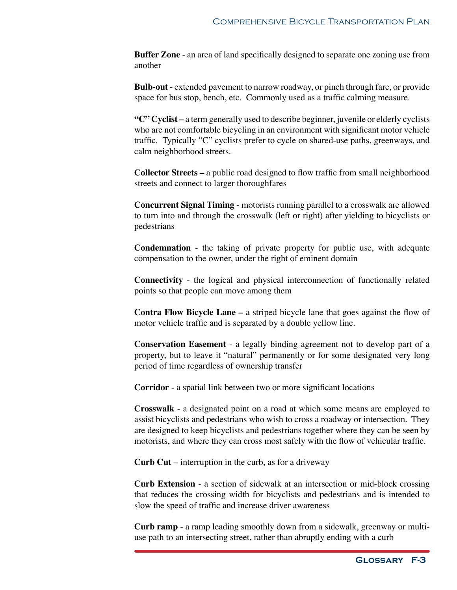**Buffer Zone** - an area of land specifically designed to separate one zoning use from another

**Bulb-out** - extended pavement to narrow roadway, or pinch through fare, or provide space for bus stop, bench, etc. Commonly used as a traffic calming measure.

**"C" Cyclist –** a term generally used to describe beginner, juvenile or elderly cyclists who are not comfortable bicycling in an environment with significant motor vehicle traffic. Typically "C" cyclists prefer to cycle on shared-use paths, greenways, and calm neighborhood streets.

**Collector Streets –** a public road designed to flow traffic from small neighborhood streets and connect to larger thoroughfares

**Concurrent Signal Timing** - motorists running parallel to a crosswalk are allowed to turn into and through the crosswalk (left or right) after yielding to bicyclists or pedestrians

**Condemnation** - the taking of private property for public use, with adequate compensation to the owner, under the right of eminent domain

**Connectivity** - the logical and physical interconnection of functionally related points so that people can move among them

**Contra Flow Bicycle Lane –** a striped bicycle lane that goes against the flow of motor vehicle traffic and is separated by a double yellow line.

**Conservation Easement** - a legally binding agreement not to develop part of a property, but to leave it "natural" permanently or for some designated very long period of time regardless of ownership transfer

**Corridor** - a spatial link between two or more significant locations

**Crosswalk** - a designated point on a road at which some means are employed to assist bicyclists and pedestrians who wish to cross a roadway or intersection. They are designed to keep bicyclists and pedestrians together where they can be seen by motorists, and where they can cross most safely with the flow of vehicular traffic.

**Curb Cut** – interruption in the curb, as for a driveway

**Curb Extension** - a section of sidewalk at an intersection or mid-block crossing that reduces the crossing width for bicyclists and pedestrians and is intended to slow the speed of traffic and increase driver awareness

**Curb ramp** - a ramp leading smoothly down from a sidewalk, greenway or multiuse path to an intersecting street, rather than abruptly ending with a curb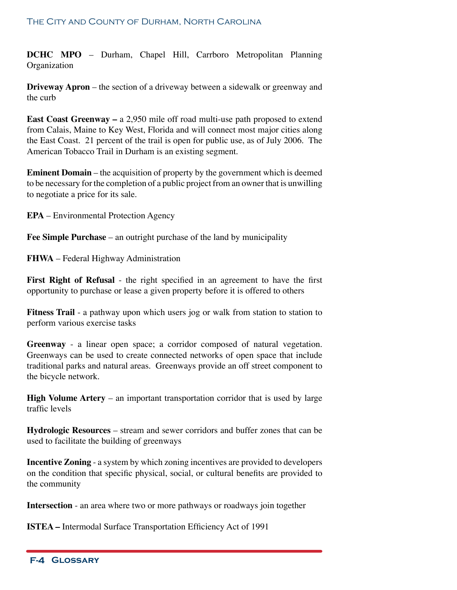**DCHC MPO** – Durham, Chapel Hill, Carrboro Metropolitan Planning Organization

**Driveway Apron** – the section of a driveway between a sidewalk or greenway and the curb

**East Coast Greenway –** a 2,950 mile off road multi-use path proposed to extend from Calais, Maine to Key West, Florida and will connect most major cities along the East Coast. 21 percent of the trail is open for public use, as of July 2006. The American Tobacco Trail in Durham is an existing segment.

**Eminent Domain** – the acquisition of property by the government which is deemed to be necessary for the completion of a public project from an owner that is unwilling to negotiate a price for its sale.

**EPA** – Environmental Protection Agency

**Fee Simple Purchase** – an outright purchase of the land by municipality

**FHWA** – Federal Highway Administration

**First Right of Refusal** - the right specified in an agreement to have the first opportunity to purchase or lease a given property before it is offered to others

**Fitness Trail** - a pathway upon which users jog or walk from station to station to perform various exercise tasks

**Greenway** - a linear open space; a corridor composed of natural vegetation. Greenways can be used to create connected networks of open space that include traditional parks and natural areas. Greenways provide an off street component to the bicycle network.

**High Volume Artery** – an important transportation corridor that is used by large traffic levels

**Hydrologic Resources** – stream and sewer corridors and buffer zones that can be used to facilitate the building of greenways

**Incentive Zoning** - a system by which zoning incentives are provided to developers on the condition that specific physical, social, or cultural benefits are provided to the community

**Intersection** - an area where two or more pathways or roadways join together

**ISTEA –** Intermodal Surface Transportation Efficiency Act of 1991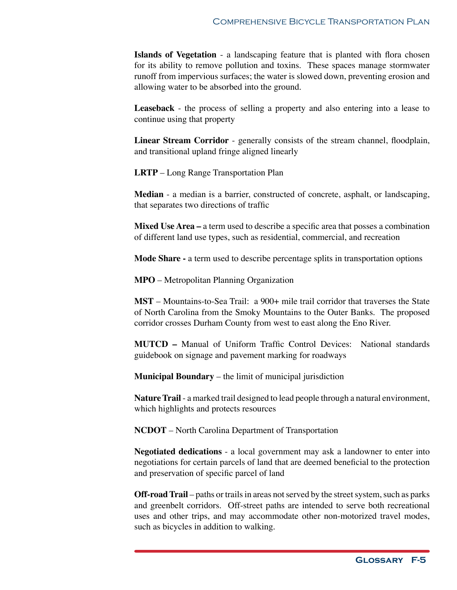**Islands of Vegetation** - a landscaping feature that is planted with flora chosen for its ability to remove pollution and toxins. These spaces manage stormwater runoff from impervious surfaces; the water is slowed down, preventing erosion and allowing water to be absorbed into the ground.

**Leaseback** - the process of selling a property and also entering into a lease to continue using that property

**Linear Stream Corridor** - generally consists of the stream channel, floodplain, and transitional upland fringe aligned linearly

**LRTP** – Long Range Transportation Plan

**Median** - a median is a barrier, constructed of concrete, asphalt, or landscaping, that separates two directions of traffic

**Mixed Use Area –** a term used to describe a specific area that posses a combination of different land use types, such as residential, commercial, and recreation

**Mode Share -** a term used to describe percentage splits in transportation options

**MPO** – Metropolitan Planning Organization

**MST** – Mountains-to-Sea Trail: a 900+ mile trail corridor that traverses the State of North Carolina from the Smoky Mountains to the Outer Banks. The proposed corridor crosses Durham County from west to east along the Eno River.

**MUTCD –** Manual of Uniform Traffic Control Devices: National standards guidebook on signage and pavement marking for roadways

**Municipal Boundary** – the limit of municipal jurisdiction

**Nature Trail** - a marked trail designed to lead people through a natural environment, which highlights and protects resources

**NCDOT** – North Carolina Department of Transportation

**Negotiated dedications** - a local government may ask a landowner to enter into negotiations for certain parcels of land that are deemed beneficial to the protection and preservation of specific parcel of land

**Off-road Trail** – paths or trails in areas not served by the street system, such as parks and greenbelt corridors. Off-street paths are intended to serve both recreational uses and other trips, and may accommodate other non-motorized travel modes, such as bicycles in addition to walking.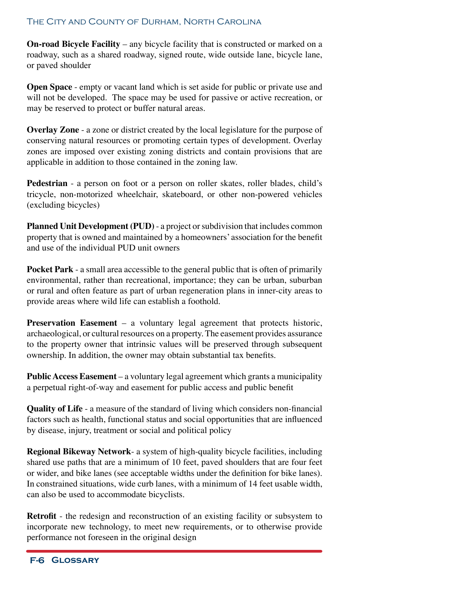## The City and County of Durham, North Carolina

**On-road Bicycle Facility** – any bicycle facility that is constructed or marked on a roadway, such as a shared roadway, signed route, wide outside lane, bicycle lane, or paved shoulder

**Open Space** - empty or vacant land which is set aside for public or private use and will not be developed. The space may be used for passive or active recreation, or may be reserved to protect or buffer natural areas.

**Overlay Zone** - a zone or district created by the local legislature for the purpose of conserving natural resources or promoting certain types of development. Overlay zones are imposed over existing zoning districts and contain provisions that are applicable in addition to those contained in the zoning law.

**Pedestrian** - a person on foot or a person on roller skates, roller blades, child's tricycle, non-motorized wheelchair, skateboard, or other non-powered vehicles (excluding bicycles)

**Planned Unit Development (PUD)** - a project or subdivision that includes common property that is owned and maintained by a homeowners' association for the benefit and use of the individual PUD unit owners

**Pocket Park** - a small area accessible to the general public that is often of primarily environmental, rather than recreational, importance; they can be urban, suburban or rural and often feature as part of urban regeneration plans in inner-city areas to provide areas where wild life can establish a foothold.

**Preservation Easement** – a voluntary legal agreement that protects historic, archaeological, or cultural resources on a property. The easement provides assurance to the property owner that intrinsic values will be preserved through subsequent ownership. In addition, the owner may obtain substantial tax benefits.

**Public Access Easement** – a voluntary legal agreement which grants a municipality a perpetual right-of-way and easement for public access and public benefit

**Quality of Life** - a measure of the standard of living which considers non-financial factors such as health, functional status and social opportunities that are influenced by disease, injury, treatment or social and political policy

**Regional Bikeway Network**- a system of high-quality bicycle facilities, including shared use paths that are a minimum of 10 feet, paved shoulders that are four feet or wider, and bike lanes (see acceptable widths under the definition for bike lanes). In constrained situations, wide curb lanes, with a minimum of 14 feet usable width, can also be used to accommodate bicyclists.

**Retrofit** - the redesign and reconstruction of an existing facility or subsystem to incorporate new technology, to meet new requirements, or to otherwise provide performance not foreseen in the original design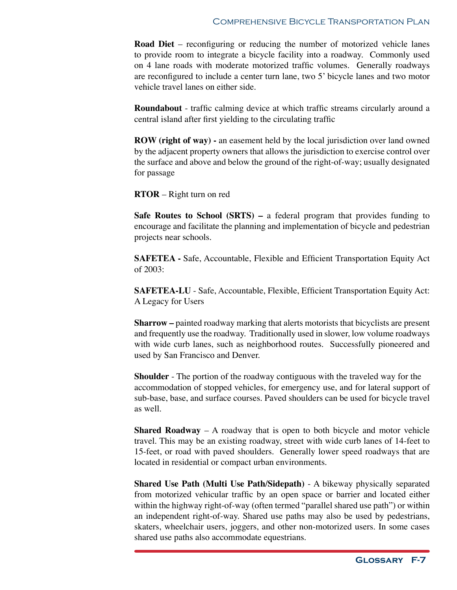**Road Diet** – reconfiguring or reducing the number of motorized vehicle lanes to provide room to integrate a bicycle facility into a roadway. Commonly used on 4 lane roads with moderate motorized traffic volumes. Generally roadways are reconfigured to include a center turn lane, two 5' bicycle lanes and two motor vehicle travel lanes on either side.

**Roundabout** - traffic calming device at which traffic streams circularly around a central island after first yielding to the circulating traffic

**ROW (right of way) -** an easement held by the local jurisdiction over land owned by the adjacent property owners that allows the jurisdiction to exercise control over the surface and above and below the ground of the right-of-way; usually designated for passage

**RTOR** – Right turn on red

**Safe Routes to School (SRTS) –** a federal program that provides funding to encourage and facilitate the planning and implementation of bicycle and pedestrian projects near schools.

**SAFETEA -** Safe, Accountable, Flexible and Efficient Transportation Equity Act of 2003:

**SAFETEA-LU** - Safe, Accountable, Flexible, Efficient Transportation Equity Act: A Legacy for Users

**Sharrow –** painted roadway marking that alerts motorists that bicyclists are present and frequently use the roadway. Traditionally used in slower, low volume roadways with wide curb lanes, such as neighborhood routes. Successfully pioneered and used by San Francisco and Denver.

**Shoulder** - The portion of the roadway contiguous with the traveled way for the accommodation of stopped vehicles, for emergency use, and for lateral support of sub-base, base, and surface courses. Paved shoulders can be used for bicycle travel as well.

**Shared Roadway** – A roadway that is open to both bicycle and motor vehicle travel. This may be an existing roadway, street with wide curb lanes of 14-feet to 15-feet, or road with paved shoulders. Generally lower speed roadways that are located in residential or compact urban environments.

**Shared Use Path (Multi Use Path/Sidepath)** - A bikeway physically separated from motorized vehicular traffic by an open space or barrier and located either within the highway right-of-way (often termed "parallel shared use path") or within an independent right-of-way. Shared use paths may also be used by pedestrians, skaters, wheelchair users, joggers, and other non-motorized users. In some cases shared use paths also accommodate equestrians.